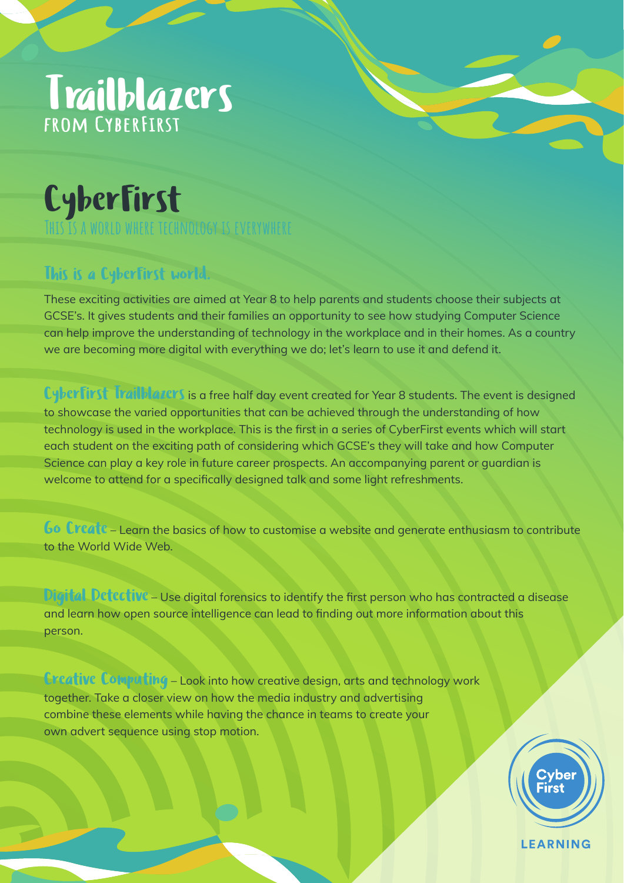# Trailblazers

### CyberFirst **This is a world where technology is everywhere**

### This is a CyberFirst world.

These exciting activities are aimed at Year 8 to help parents and students choose their subjects at GCSE's. It gives students and their families an opportunity to see how studying Computer Science can help improve the understanding of technology in the workplace and in their homes. As a country we are becoming more digital with everything we do; let's learn to use it and defend it.

CyberFirst Trailblazers is a free half day event created for Year 8 students. The event is designed to showcase the varied opportunities that can be achieved through the understanding of how technology is used in the workplace. This is the first in a series of CyberFirst events which will start each student on the exciting path of considering which GCSE's they will take and how Computer Science can play a key role in future career prospects. An accompanying parent or guardian is welcome to attend for a specifically designed talk and some light refreshments.

Go Create – Learn the basics of how to customise a website and generate enthusiasm to contribute to the World Wide Web.

Digital Detective - Use digital forensics to identify the first person who has contracted a disease and learn how open source intelligence can lead to finding out more information about this person.

**Creative Computing** – Look into how creative design, arts and technology work together. Take a closer view on how the media industry and advertising combine these elements while having the chance in teams to create your own advert sequence using stop motion.



**LEARNING**